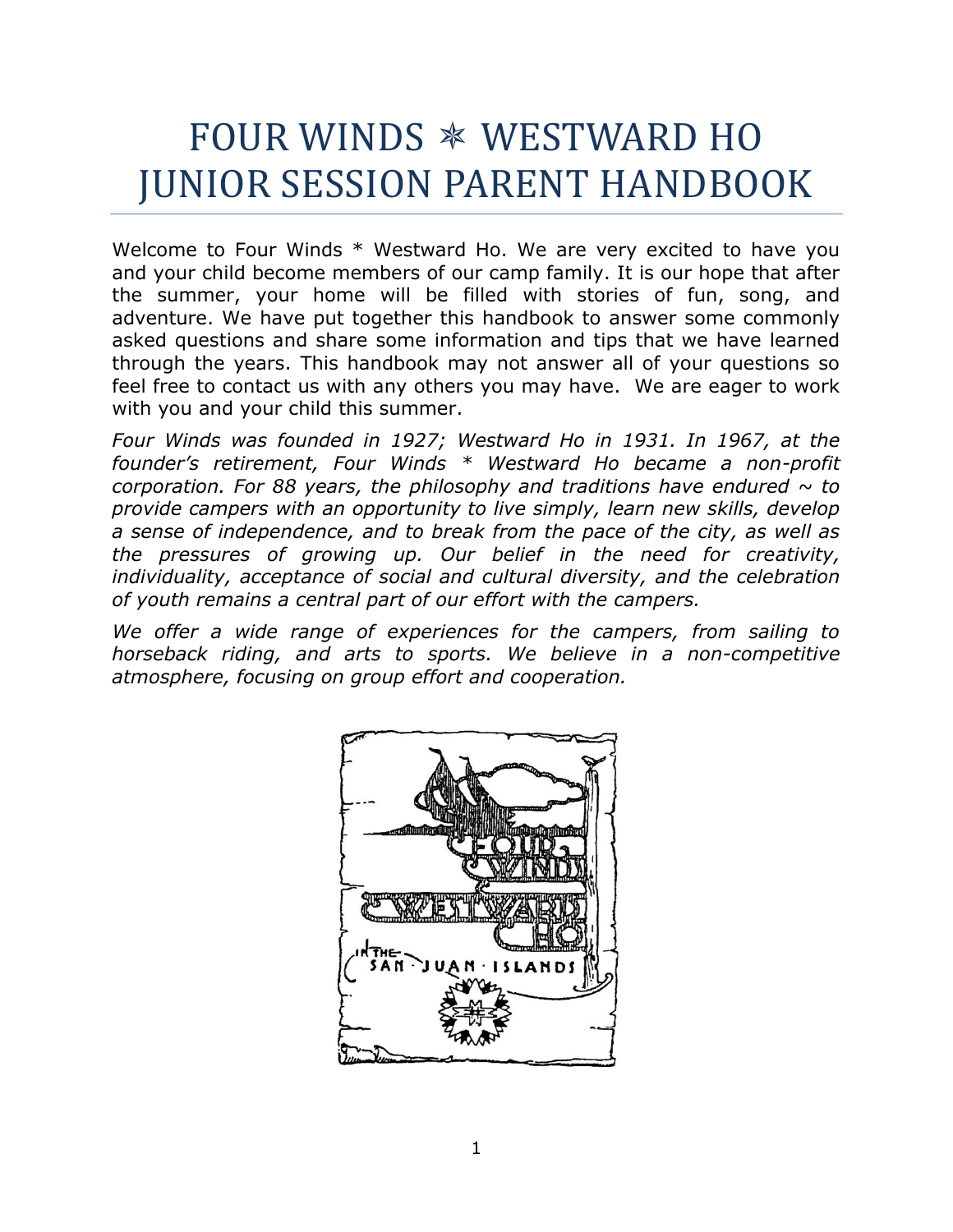# FOUR WINDS WESTWARD HO JUNIOR SESSION PARENT HANDBOOK

Welcome to Four Winds \* Westward Ho. We are very excited to have you and your child become members of our camp family. It is our hope that after the summer, your home will be filled with stories of fun, song, and adventure. We have put together this handbook to answer some commonly asked questions and share some information and tips that we have learned through the years. This handbook may not answer all of your questions so feel free to contact us with any others you may have. We are eager to work with you and your child this summer.

*Four Winds was founded in 1927; Westward Ho in 1931. In 1967, at the founder's retirement, Four Winds \* Westward Ho became a non-profit corporation. For 88 years, the philosophy and traditions have endured*  $\sim$  *to provide campers with an opportunity to live simply, learn new skills, develop a sense of independence, and to break from the pace of the city, as well as the pressures of growing up. Our belief in the need for creativity, individuality, acceptance of social and cultural diversity, and the celebration of youth remains a central part of our effort with the campers.*

*We offer a wide range of experiences for the campers, from sailing to horseback riding, and arts to sports. We believe in a non-competitive atmosphere, focusing on group effort and cooperation.*

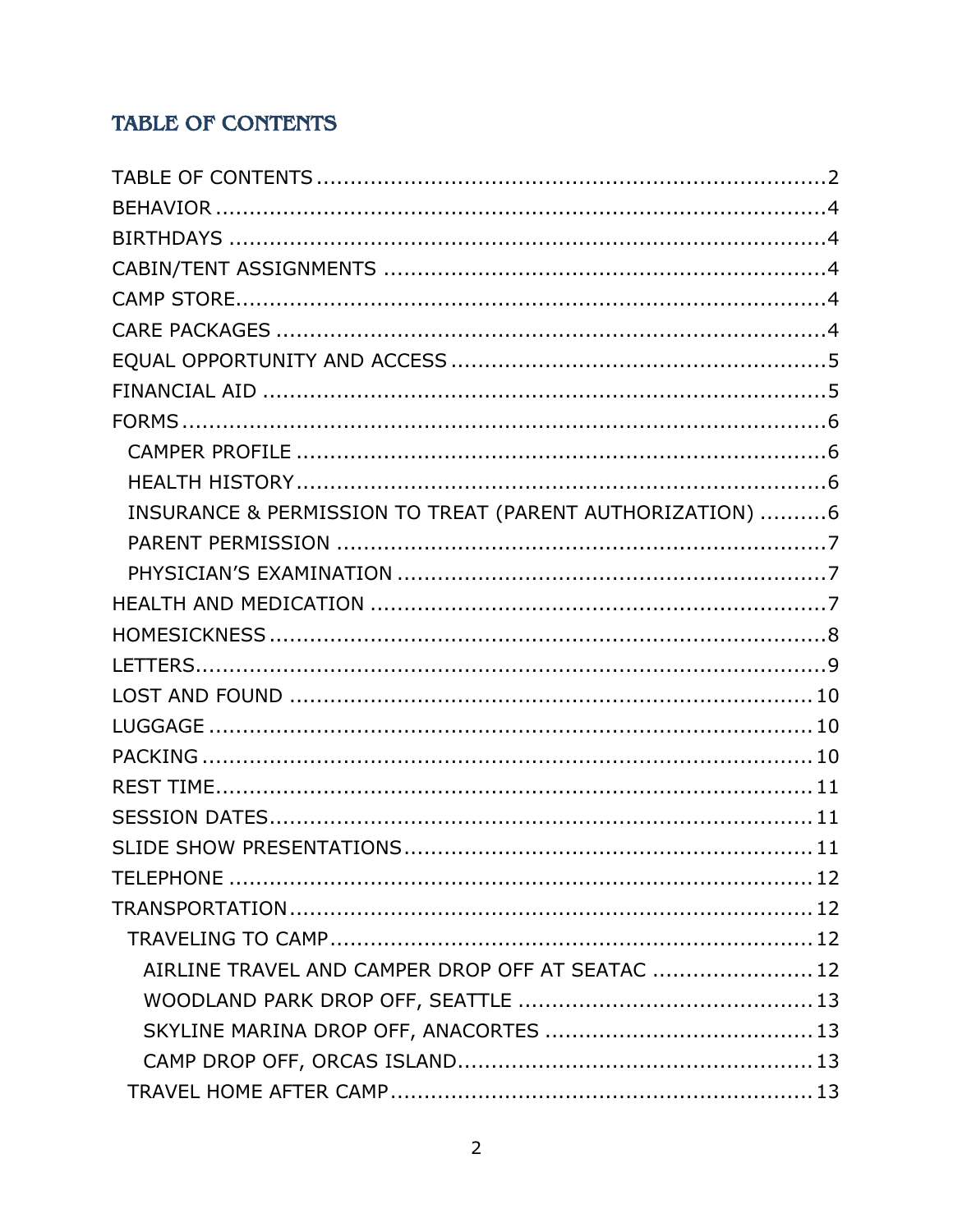## <span id="page-1-0"></span>**TABLE OF CONTENTS**

| INSURANCE & PERMISSION TO TREAT (PARENT AUTHORIZATION) 6 |  |
|----------------------------------------------------------|--|
|                                                          |  |
|                                                          |  |
|                                                          |  |
|                                                          |  |
|                                                          |  |
|                                                          |  |
|                                                          |  |
|                                                          |  |
|                                                          |  |
|                                                          |  |
|                                                          |  |
|                                                          |  |
|                                                          |  |
|                                                          |  |
| AIRLINE TRAVEL AND CAMPER DROP OFF AT SEATAC  12         |  |
|                                                          |  |
|                                                          |  |
|                                                          |  |
|                                                          |  |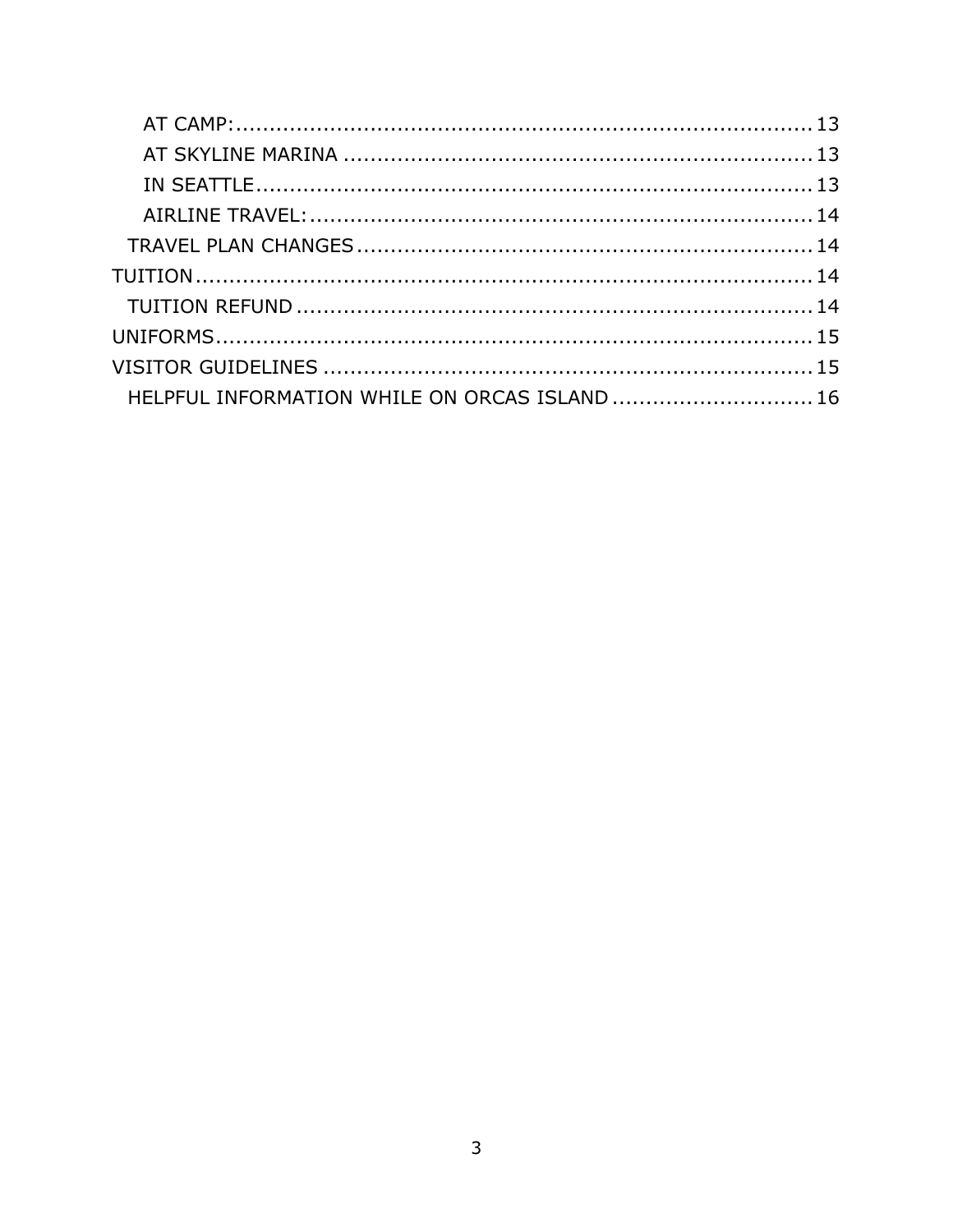| HELPFUL INFORMATION WHILE ON ORCAS ISLAND  16 |  |
|-----------------------------------------------|--|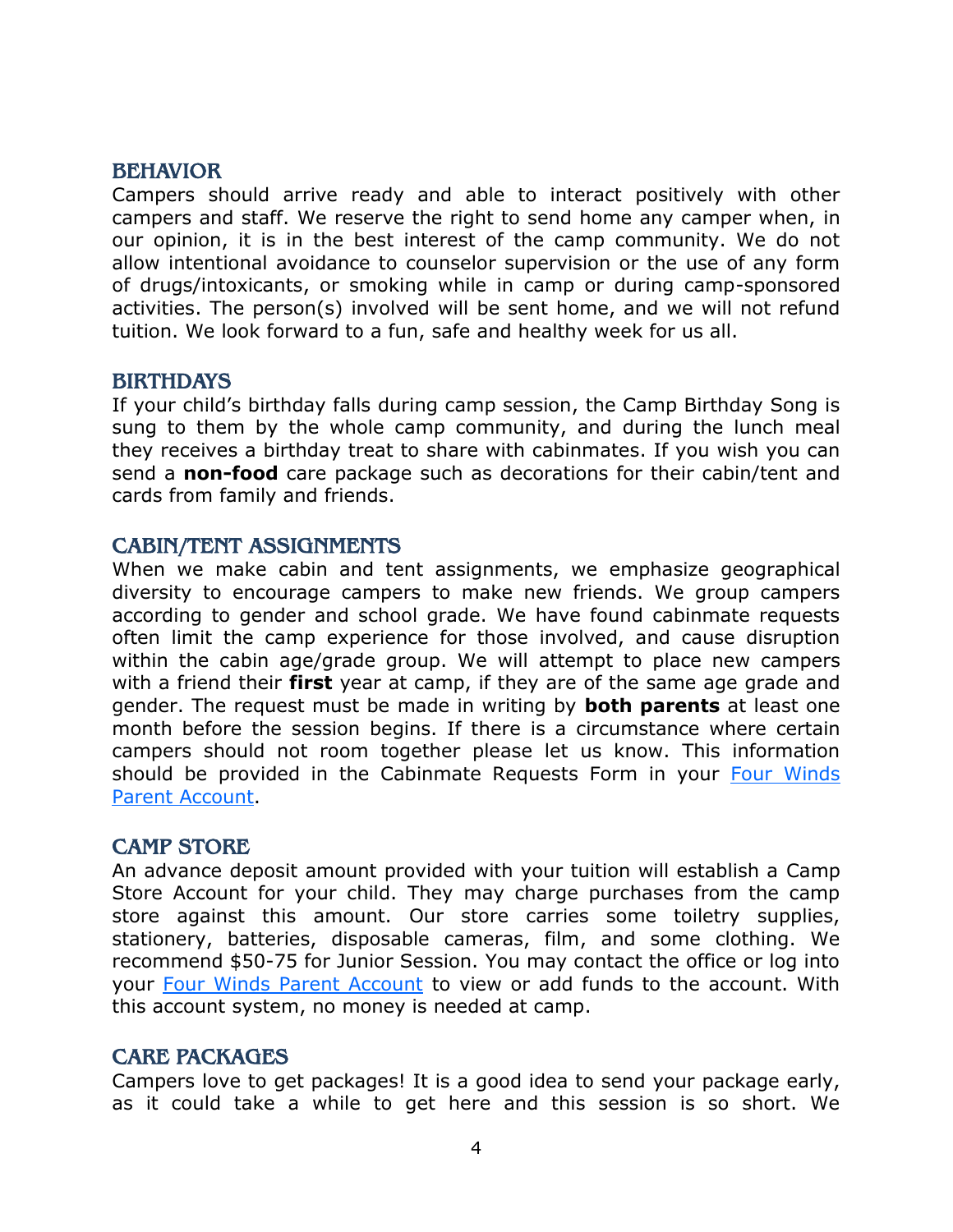#### <span id="page-3-0"></span>BEHAVIOR

Campers should arrive ready and able to interact positively with other campers and staff. We reserve the right to send home any camper when, in our opinion, it is in the best interest of the camp community. We do not allow intentional avoidance to counselor supervision or the use of any form of drugs/intoxicants, or smoking while in camp or during camp-sponsored activities. The person(s) involved will be sent home, and we will not refund tuition. We look forward to a fun, safe and healthy week for us all.

#### <span id="page-3-1"></span>BIRTHDAYS

If your child's birthday falls during camp session, the Camp Birthday Song is sung to them by the whole camp community, and during the lunch meal they receives a birthday treat to share with cabinmates. If you wish you can send a **non-food** care package such as decorations for their cabin/tent and cards from family and friends.

#### <span id="page-3-2"></span>CABIN/TENT ASSIGNMENTS

When we make cabin and tent assignments, we emphasize geographical diversity to encourage campers to make new friends. We group campers according to gender and school grade. We have found cabinmate requests often limit the camp experience for those involved, and cause disruption within the cabin age/grade group. We will attempt to place new campers with a friend their **first** year at camp, if they are of the same age grade and gender. The request must be made in writing by **both parents** at least one month before the session begins. If there is a circumstance where certain campers should not room together please let us know. This information should be provided in the Cabinmate Requests Form in your Four Winds [Parent Account.](http://fourwindscamp.org/login)

#### <span id="page-3-3"></span>CAMP STORE

An advance deposit amount provided with your tuition will establish a Camp Store Account for your child. They may charge purchases from the camp store against this amount. Our store carries some toiletry supplies, stationery, batteries, disposable cameras, film, and some clothing. We recommend \$50-75 for Junior Session. You may contact the office or log into your [Four Winds Parent Account](http://fourwindscamp.org/login) to view or add funds to the account. With this account system, no money is needed at camp.

#### <span id="page-3-4"></span>CARE PACKAGES

Campers love to get packages! It is a good idea to send your package early, as it could take a while to get here and this session is so short. We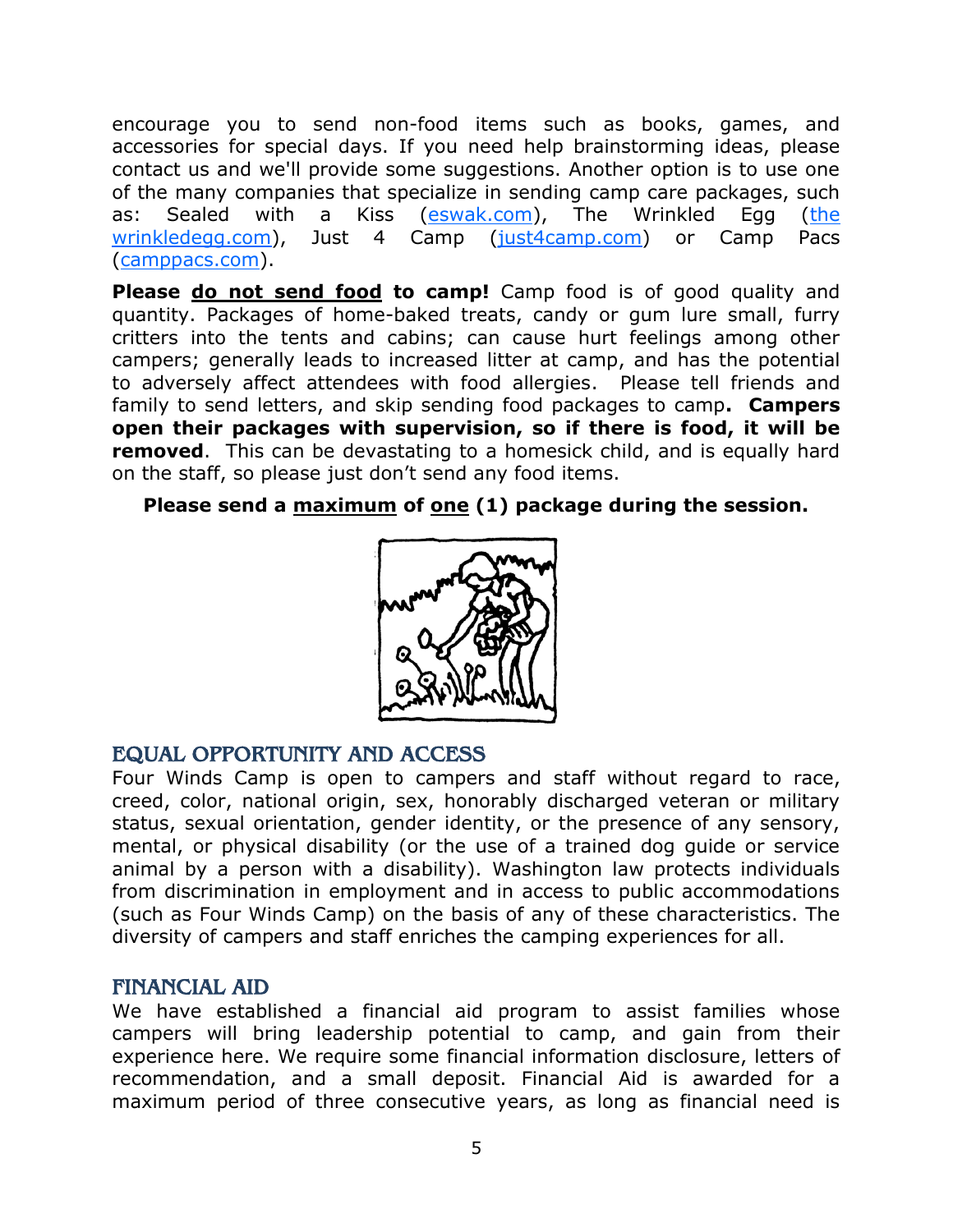encourage you to send non-food items such as books, games, and accessories for special days. If you need help brainstorming ideas, please contact us and we'll provide some suggestions. Another option is to use one of the many companies that specialize in sending camp care packages, such as: Sealed with a Kiss [\(eswak.com\)](http://www.eswak.com/), The Wrinkled Egg (the [wrinkledegg.com\)](https://www.thewrinkledegg.com/), Just 4 Camp [\(just4camp.com\)](http://www.just4camp.com/) or Camp Pacs [\(camppacs.com\)](https://www.camppacs.com/).

**Please do not send food to camp!** Camp food is of good quality and quantity. Packages of home-baked treats, candy or gum lure small, furry critters into the tents and cabins; can cause hurt feelings among other campers; generally leads to increased litter at camp, and has the potential to adversely affect attendees with food allergies. Please tell friends and family to send letters, and skip sending food packages to camp**. Campers open their packages with supervision, so if there is food, it will be removed.** This can be devastating to a homesick child, and is equally hard on the staff, so please just don't send any food items.

**Please send a maximum of one (1) package during the session.**



## <span id="page-4-0"></span>EQUAL OPPORTUNITY AND ACCESS

Four Winds Camp is open to campers and staff without regard to race, creed, color, national origin, sex, honorably discharged veteran or military status, sexual orientation, gender identity, or the presence of any sensory, mental, or physical disability (or the use of a trained dog guide or service animal by a person with a disability). Washington law protects individuals from discrimination in employment and in access to public accommodations (such as Four Winds Camp) on the basis of any of these characteristics. The diversity of campers and staff enriches the camping experiences for all.

## <span id="page-4-1"></span>FINANCIAL AID

We have established a financial aid program to assist families whose campers will bring leadership potential to camp, and gain from their experience here. We require some financial information disclosure, letters of recommendation, and a small deposit. Financial Aid is awarded for a maximum period of three consecutive years, as long as financial need is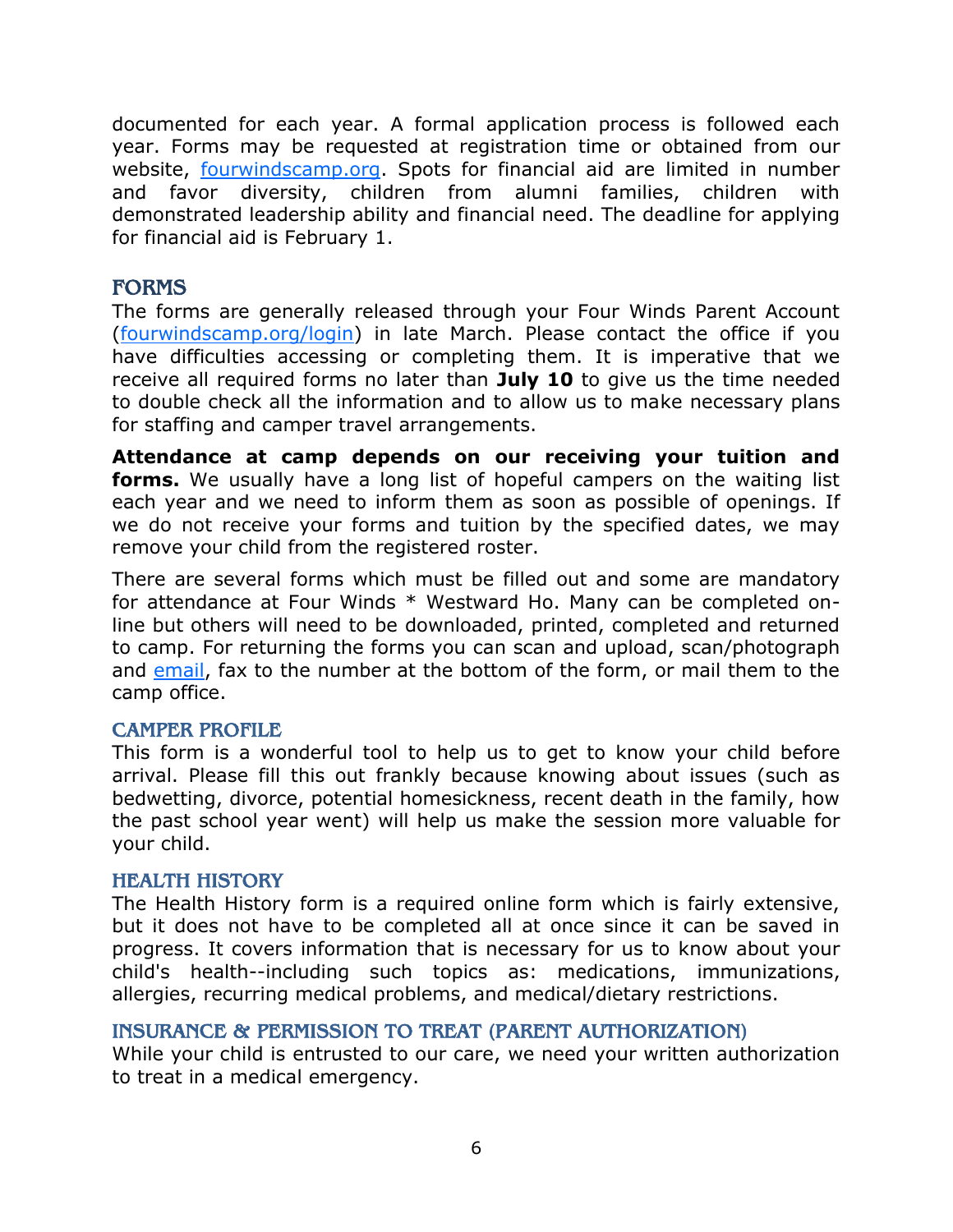documented for each year. A formal application process is followed each year. Forms may be requested at registration time or obtained from our website, <u>fourwindscamp.org</u>. Spots for financial aid are limited in number and favor diversity, children from alumni families, children with demonstrated leadership ability and financial need. The deadline for applying for financial aid is February 1.

### <span id="page-5-0"></span>**FORMS**

The forms are generally released through your Four Winds Parent Account [\(fourwindscamp.org/login\)](http://www.fourwindscamp.org/login) in late March. Please contact the office if you have difficulties accessing or completing them. It is imperative that we receive all required forms no later than **July 10** to give us the time needed to double check all the information and to allow us to make necessary plans for staffing and camper travel arrangements.

**Attendance at camp depends on our receiving your tuition and forms.** We usually have a long list of hopeful campers on the waiting list each year and we need to inform them as soon as possible of openings. If we do not receive your forms and tuition by the specified dates, we may remove your child from the registered roster.

There are several forms which must be filled out and some are mandatory for attendance at Four Winds \* Westward Ho. Many can be completed online but others will need to be downloaded, printed, completed and returned to camp. For returning the forms you can scan and upload, scan/photograph and [email,](mailto:mariah@fourwindscamp.org?subject=Junior%20Session%20Camp%20Forms) fax to the number at the bottom of the form, or mail them to the camp office.

#### <span id="page-5-1"></span>CAMPER PROFILE

This form is a wonderful tool to help us to get to know your child before arrival. Please fill this out frankly because knowing about issues (such as bedwetting, divorce, potential homesickness, recent death in the family, how the past school year went) will help us make the session more valuable for your child.

#### <span id="page-5-2"></span>HEALTH HISTORY

The Health History form is a required online form which is fairly extensive, but it does not have to be completed all at once since it can be saved in progress. It covers information that is necessary for us to know about your child's health--including such topics as: medications, immunizations, allergies, recurring medical problems, and medical/dietary restrictions.

#### <span id="page-5-3"></span>INSURANCE & PERMISSION TO TREAT (PARENT AUTHORIZATION)

While your child is entrusted to our care, we need your written authorization to treat in a medical emergency.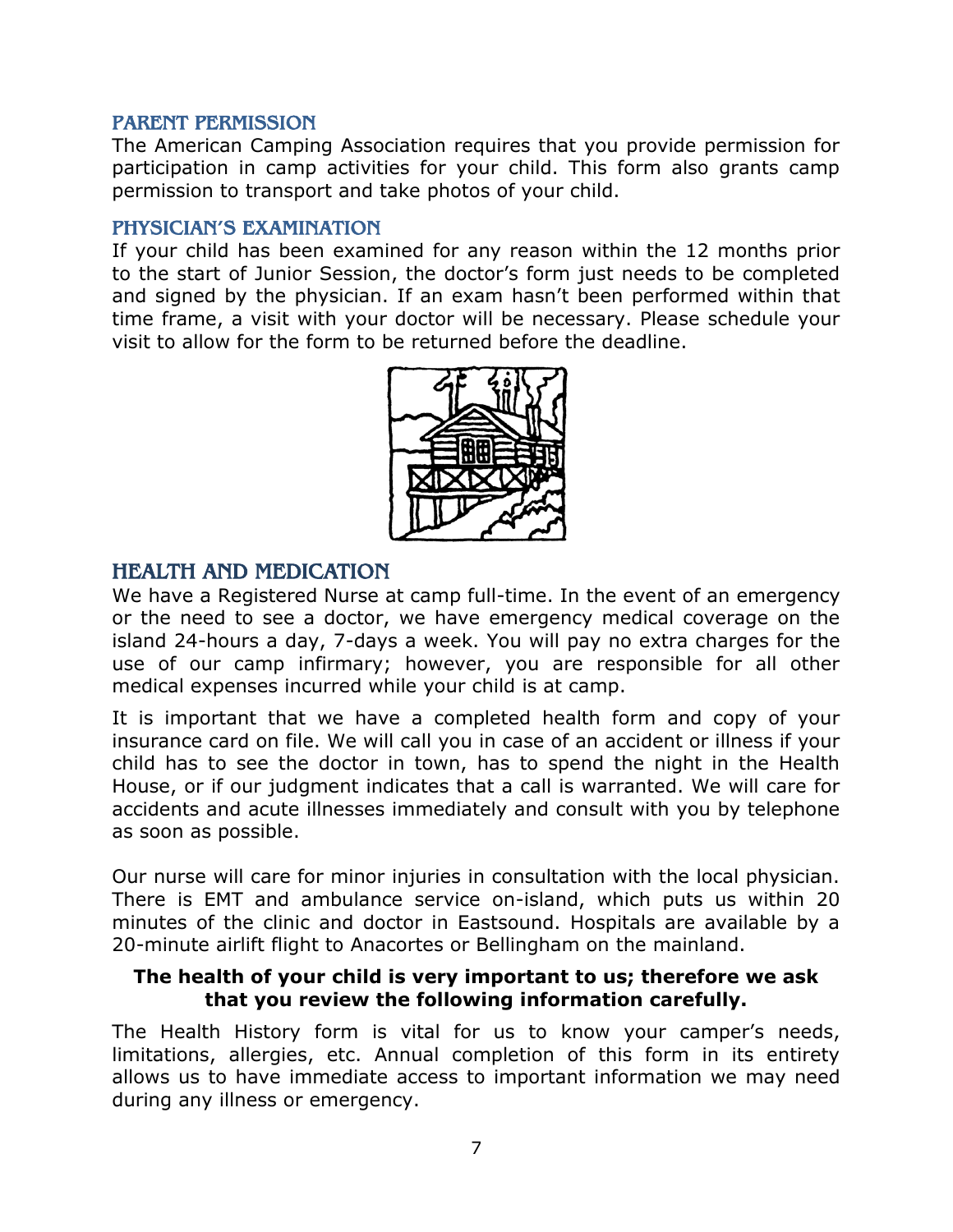#### <span id="page-6-0"></span>PARENT PERMISSION

The American Camping Association requires that you provide permission for participation in camp activities for your child. This form also grants camp permission to transport and take photos of your child.

#### <span id="page-6-1"></span>PHYSICIAN'S EXAMINATION

If your child has been examined for any reason within the 12 months prior to the start of Junior Session, the doctor's form just needs to be completed and signed by the physician. If an exam hasn't been performed within that time frame, a visit with your doctor will be necessary. Please schedule your visit to allow for the form to be returned before the deadline.



## <span id="page-6-2"></span>HEALTH AND MEDICATION

We have a Registered Nurse at camp full-time. In the event of an emergency or the need to see a doctor, we have emergency medical coverage on the island 24-hours a day, 7-days a week. You will pay no extra charges for the use of our camp infirmary; however, you are responsible for all other medical expenses incurred while your child is at camp.

It is important that we have a completed health form and copy of your insurance card on file. We will call you in case of an accident or illness if your child has to see the doctor in town, has to spend the night in the Health House, or if our judgment indicates that a call is warranted. We will care for accidents and acute illnesses immediately and consult with you by telephone as soon as possible.

Our nurse will care for minor injuries in consultation with the local physician. There is EMT and ambulance service on-island, which puts us within 20 minutes of the clinic and doctor in Eastsound. Hospitals are available by a 20-minute airlift flight to Anacortes or Bellingham on the mainland.

#### **The health of your child is very important to us; therefore we ask that you review the following information carefully.**

The Health History form is vital for us to know your camper's needs, limitations, allergies, etc. Annual completion of this form in its entirety allows us to have immediate access to important information we may need during any illness or emergency.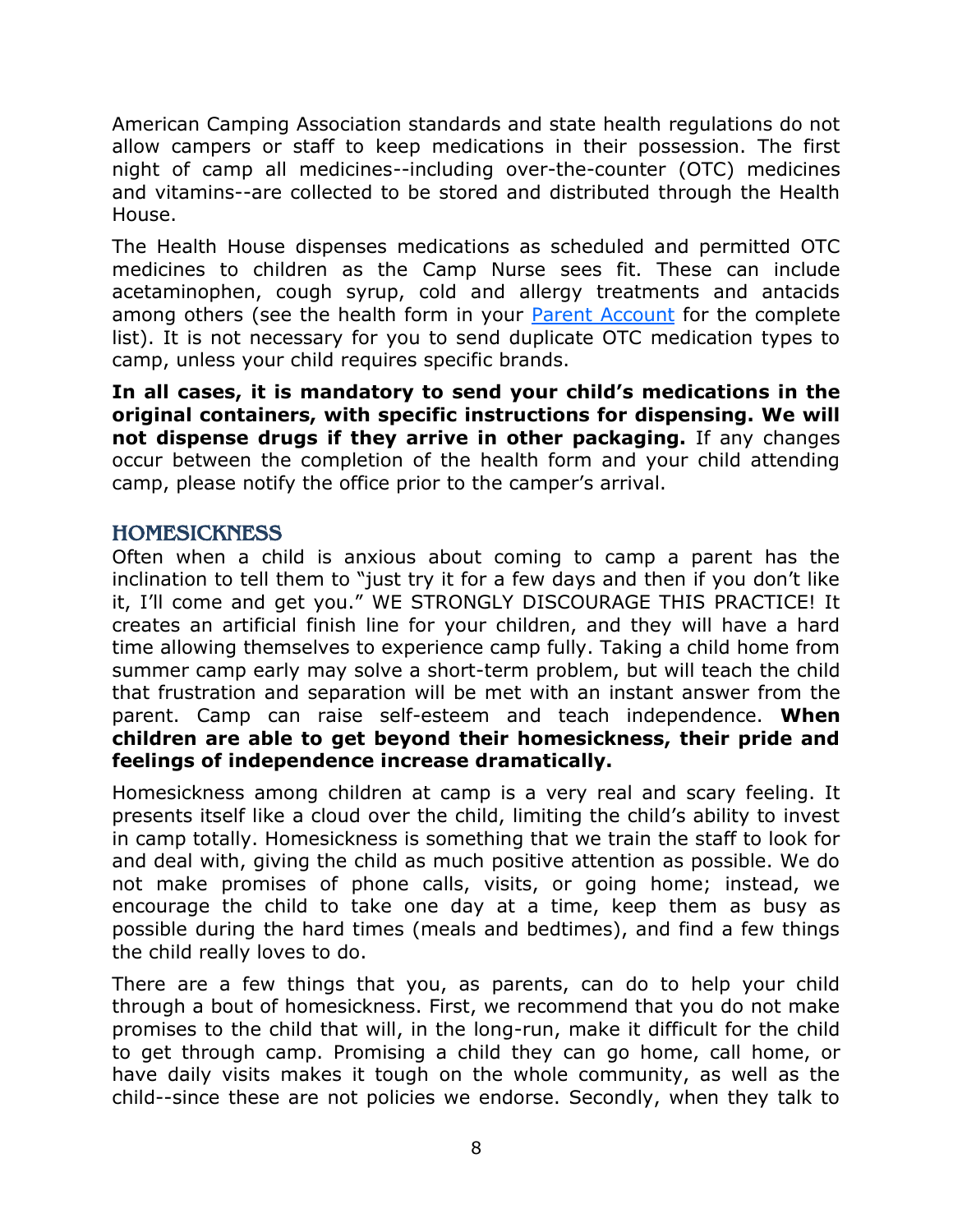American Camping Association standards and state health regulations do not allow campers or staff to keep medications in their possession. The first night of camp all medicines--including over-the-counter (OTC) medicines and vitamins--are collected to be stored and distributed through the Health House.

The Health House dispenses medications as scheduled and permitted OTC medicines to children as the Camp Nurse sees fit. These can include acetaminophen, cough syrup, cold and allergy treatments and antacids among others (see the health form in your [Parent Account](http://fourwindscamp.org/login) for the complete list). It is not necessary for you to send duplicate OTC medication types to camp, unless your child requires specific brands.

**In all cases, it is mandatory to send your child's medications in the original containers, with specific instructions for dispensing. We will not dispense drugs if they arrive in other packaging.** If any changes occur between the completion of the health form and your child attending camp, please notify the office prior to the camper's arrival.

## <span id="page-7-0"></span>**HOMESICKNESS**

Often when a child is anxious about coming to camp a parent has the inclination to tell them to "just try it for a few days and then if you don't like it, I'll come and get you." WE STRONGLY DISCOURAGE THIS PRACTICE! It creates an artificial finish line for your children, and they will have a hard time allowing themselves to experience camp fully. Taking a child home from summer camp early may solve a short-term problem, but will teach the child that frustration and separation will be met with an instant answer from the parent. Camp can raise self-esteem and teach independence. **When children are able to get beyond their homesickness, their pride and feelings of independence increase dramatically.**

Homesickness among children at camp is a very real and scary feeling. It presents itself like a cloud over the child, limiting the child's ability to invest in camp totally. Homesickness is something that we train the staff to look for and deal with, giving the child as much positive attention as possible. We do not make promises of phone calls, visits, or going home; instead, we encourage the child to take one day at a time, keep them as busy as possible during the hard times (meals and bedtimes), and find a few things the child really loves to do.

There are a few things that you, as parents, can do to help your child through a bout of homesickness. First, we recommend that you do not make promises to the child that will, in the long-run, make it difficult for the child to get through camp. Promising a child they can go home, call home, or have daily visits makes it tough on the whole community, as well as the child--since these are not policies we endorse. Secondly, when they talk to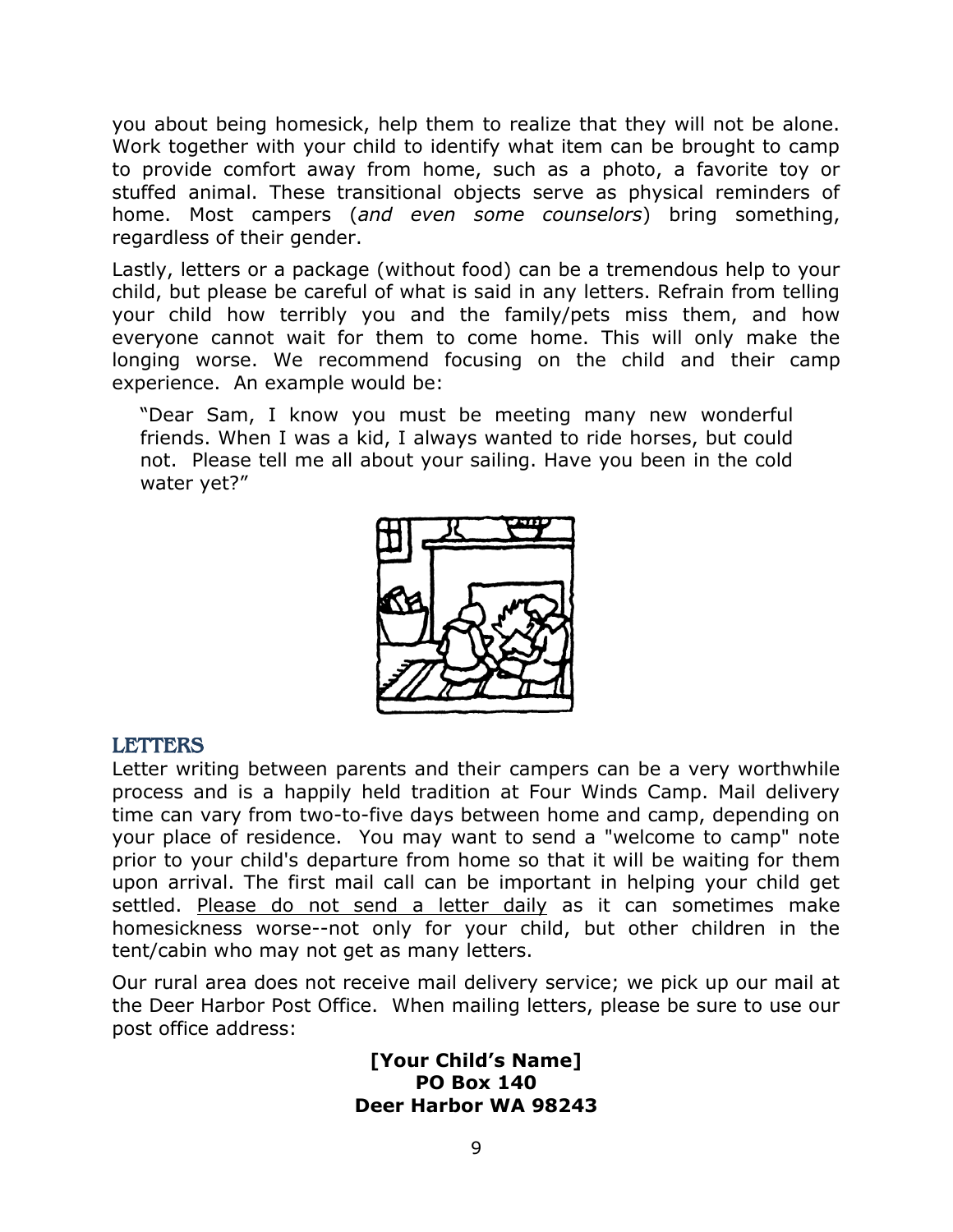you about being homesick, help them to realize that they will not be alone. Work together with your child to identify what item can be brought to camp to provide comfort away from home, such as a photo, a favorite toy or stuffed animal. These transitional objects serve as physical reminders of home. Most campers (*and even some counselors*) bring something, regardless of their gender.

Lastly, letters or a package (without food) can be a tremendous help to your child, but please be careful of what is said in any letters. Refrain from telling your child how terribly you and the family/pets miss them, and how everyone cannot wait for them to come home. This will only make the longing worse. We recommend focusing on the child and their camp experience. An example would be:

"Dear Sam, I know you must be meeting many new wonderful friends. When I was a kid, I always wanted to ride horses, but could not. Please tell me all about your sailing. Have you been in the cold water yet?"



#### <span id="page-8-0"></span>LETTERS

Letter writing between parents and their campers can be a very worthwhile process and is a happily held tradition at Four Winds Camp. Mail delivery time can vary from two-to-five days between home and camp, depending on your place of residence. You may want to send a "welcome to camp" note prior to your child's departure from home so that it will be waiting for them upon arrival. The first mail call can be important in helping your child get settled. Please do not send a letter daily as it can sometimes make homesickness worse--not only for your child, but other children in the tent/cabin who may not get as many letters.

Our rural area does not receive mail delivery service; we pick up our mail at the Deer Harbor Post Office. When mailing letters, please be sure to use our post office address:

> **[Your Child's Name] PO Box 140 Deer Harbor WA 98243**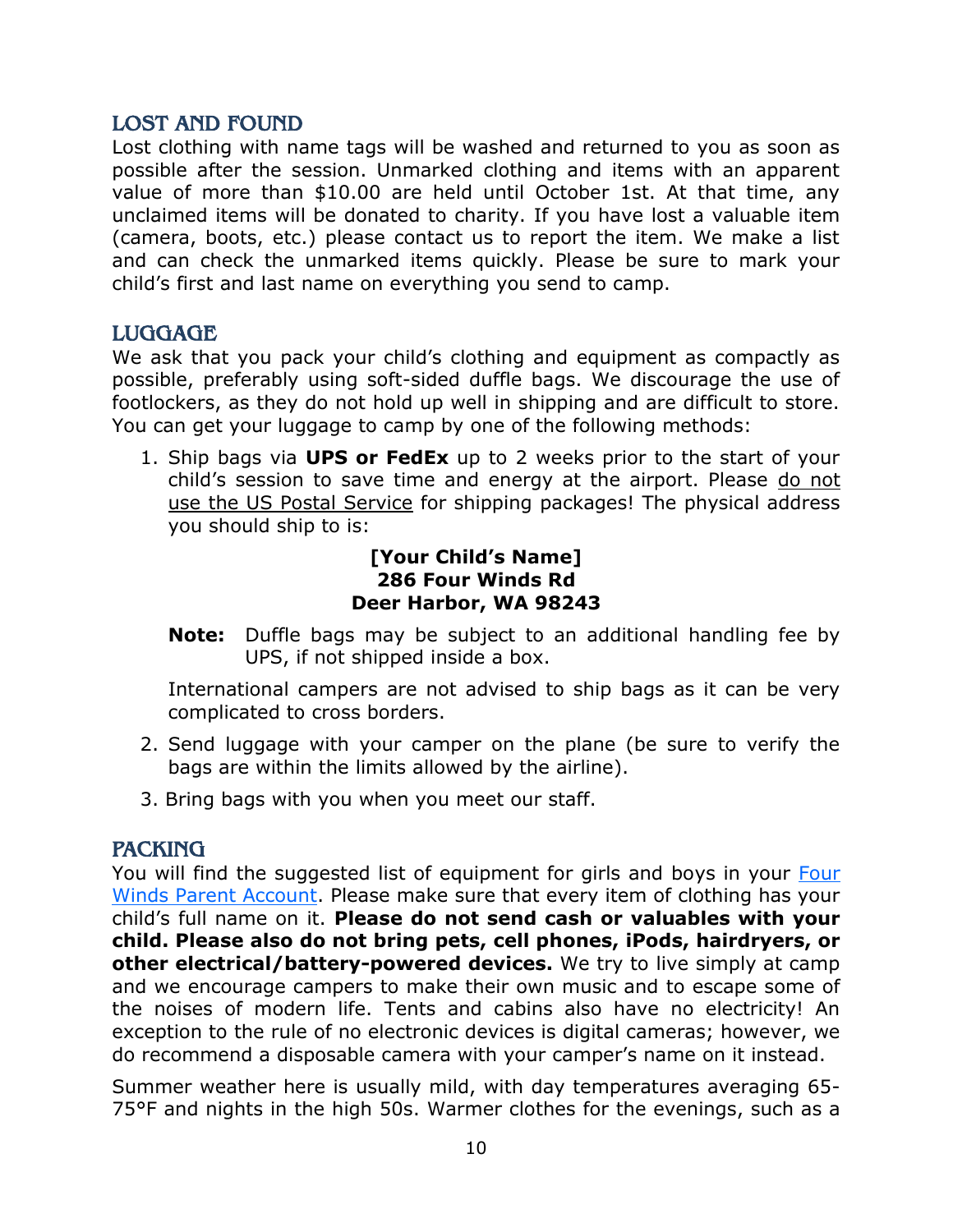## <span id="page-9-0"></span>LOST AND FOUND

Lost clothing with name tags will be washed and returned to you as soon as possible after the session. Unmarked clothing and items with an apparent value of more than \$10.00 are held until October 1st. At that time, any unclaimed items will be donated to charity. If you have lost a valuable item (camera, boots, etc.) please contact us to report the item. We make a list and can check the unmarked items quickly. Please be sure to mark your child's first and last name on everything you send to camp.

## <span id="page-9-1"></span>LUGGAGE

We ask that you pack your child's clothing and equipment as compactly as possible, preferably using soft-sided duffle bags. We discourage the use of footlockers, as they do not hold up well in shipping and are difficult to store. You can get your luggage to camp by one of the following methods:

1. Ship bags via **UPS or FedEx** up to 2 weeks prior to the start of your child's session to save time and energy at the airport. Please do not use the US Postal Service for shipping packages! The physical address you should ship to is:

### **[Your Child's Name] 286 Four Winds Rd Deer Harbor, WA 98243**

**Note:** Duffle bags may be subject to an additional handling fee by UPS, if not shipped inside a box.

International campers are not advised to ship bags as it can be very complicated to cross borders.

- 2. Send luggage with your camper on the plane (be sure to verify the bags are within the limits allowed by the airline).
- 3. Bring bags with you when you meet our staff.

## <span id="page-9-2"></span>**PACKING**

You will find the suggested list of equipment for girls and boys in your Four [Winds Parent Account.](http://fourwindscamp.org/login) Please make sure that every item of clothing has your child's full name on it. **Please do not send cash or valuables with your child. Please also do not bring pets, cell phones, iPods, hairdryers, or other electrical/battery-powered devices.** We try to live simply at camp and we encourage campers to make their own music and to escape some of the noises of modern life. Tents and cabins also have no electricity! An exception to the rule of no electronic devices is digital cameras; however, we do recommend a disposable camera with your camper's name on it instead.

Summer weather here is usually mild, with day temperatures averaging 65- 75°F and nights in the high 50s. Warmer clothes for the evenings, such as a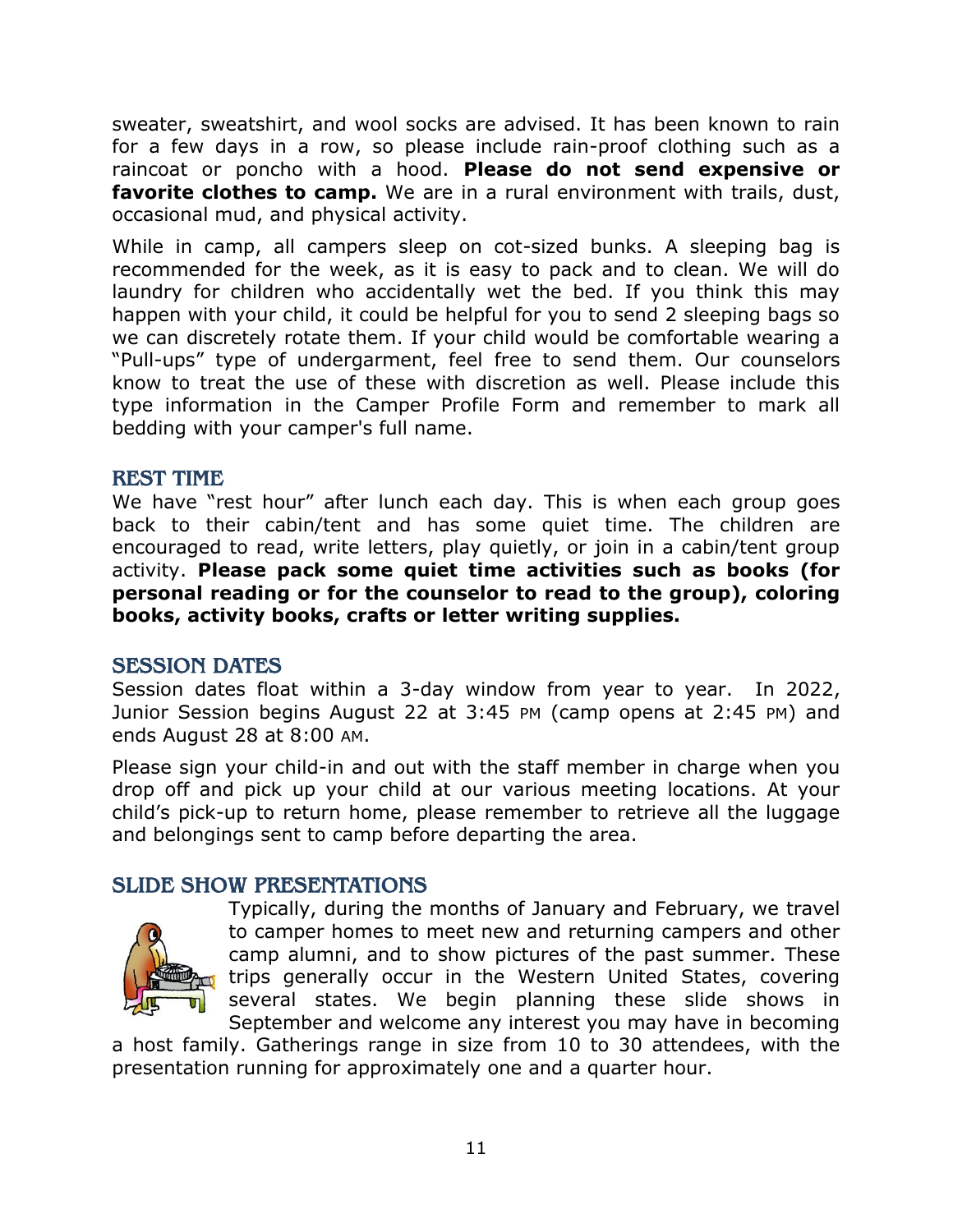sweater, sweatshirt, and wool socks are advised. It has been known to rain for a few days in a row, so please include rain-proof clothing such as a raincoat or poncho with a hood. **Please do not send expensive or favorite clothes to camp.** We are in a rural environment with trails, dust, occasional mud, and physical activity.

While in camp, all campers sleep on cot-sized bunks. A sleeping bag is recommended for the week, as it is easy to pack and to clean. We will do laundry for children who accidentally wet the bed. If you think this may happen with your child, it could be helpful for you to send 2 sleeping bags so we can discretely rotate them. If your child would be comfortable wearing a "Pull-ups" type of undergarment, feel free to send them. Our counselors know to treat the use of these with discretion as well. Please include this type information in the Camper Profile Form and remember to mark all bedding with your camper's full name.

#### <span id="page-10-0"></span>REST TIME

We have "rest hour" after lunch each day. This is when each group goes back to their cabin/tent and has some quiet time. The children are encouraged to read, write letters, play quietly, or join in a cabin/tent group activity. **Please pack some quiet time activities such as books (for personal reading or for the counselor to read to the group), coloring books, activity books, crafts or letter writing supplies.**

## <span id="page-10-1"></span>SESSION DATES

Session dates float within a 3-day window from year to year. In 2022, Junior Session begins August 22 at 3:45 PM (camp opens at 2:45 PM) and ends August 28 at 8:00 AM.

Please sign your child-in and out with the staff member in charge when you drop off and pick up your child at our various meeting locations. At your child's pick-up to return home, please remember to retrieve all the luggage and belongings sent to camp before departing the area.

## <span id="page-10-2"></span>SLIDE SHOW PRESENTATIONS



Typically, during the months of January and February, we travel to camper homes to meet new and returning campers and other camp alumni, and to show pictures of the past summer. These trips generally occur in the Western United States, covering several states. We begin planning these slide shows in September and welcome any interest you may have in becoming

a host family. Gatherings range in size from 10 to 30 attendees, with the presentation running for approximately one and a quarter hour.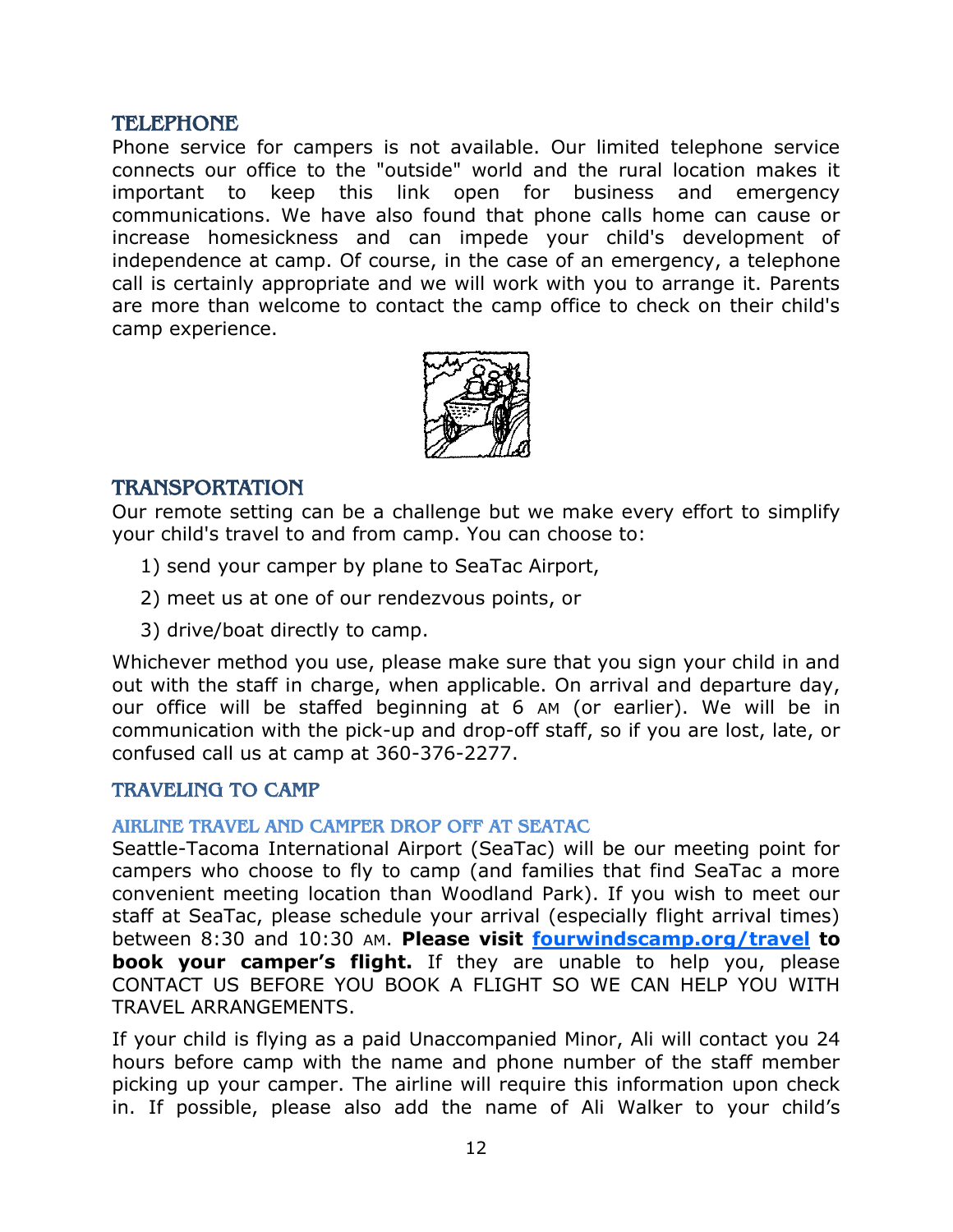### <span id="page-11-0"></span>TELEPHONE

Phone service for campers is not available. Our limited telephone service connects our office to the "outside" world and the rural location makes it important to keep this link open for business and emergency communications. We have also found that phone calls home can cause or increase homesickness and can impede your child's development of independence at camp. Of course, in the case of an emergency, a telephone call is certainly appropriate and we will work with you to arrange it. Parents are more than welcome to contact the camp office to check on their child's camp experience.



#### <span id="page-11-1"></span>TRANSPORTATION

Our remote setting can be a challenge but we make every effort to simplify your child's travel to and from camp. You can choose to:

- 1) send your camper by plane to SeaTac Airport,
- 2) meet us at one of our rendezvous points, or
- 3) drive/boat directly to camp.

Whichever method you use, please make sure that you sign your child in and out with the staff in charge, when applicable. On arrival and departure day, our office will be staffed beginning at 6 AM (or earlier). We will be in communication with the pick-up and drop-off staff, so if you are lost, late, or confused call us at camp at 360-376-2277.

## <span id="page-11-2"></span>TRAVELING TO CAMP

## <span id="page-11-3"></span>AIRLINE TRAVEL AND CAMPER DROP OFF AT SEATAC

Seattle-Tacoma International Airport (SeaTac) will be our meeting point for campers who choose to fly to camp (and families that find SeaTac a more convenient meeting location than Woodland Park). If you wish to meet our staff at SeaTac, please schedule your arrival (especially flight arrival times) between 8:30 and 10:30 AM. **Please visit [fourwindscamp.org/travel](https://fs20.formsite.com/sojourn/form10/index.html) to book your camper's flight.** If they are unable to help you, please CONTACT US BEFORE YOU BOOK A FLIGHT SO WE CAN HELP YOU WITH TRAVEL ARRANGEMENTS.

If your child is flying as a paid Unaccompanied Minor, Ali will contact you 24 hours before camp with the name and phone number of the staff member picking up your camper. The airline will require this information upon check in. If possible, please also add the name of Ali Walker to your child's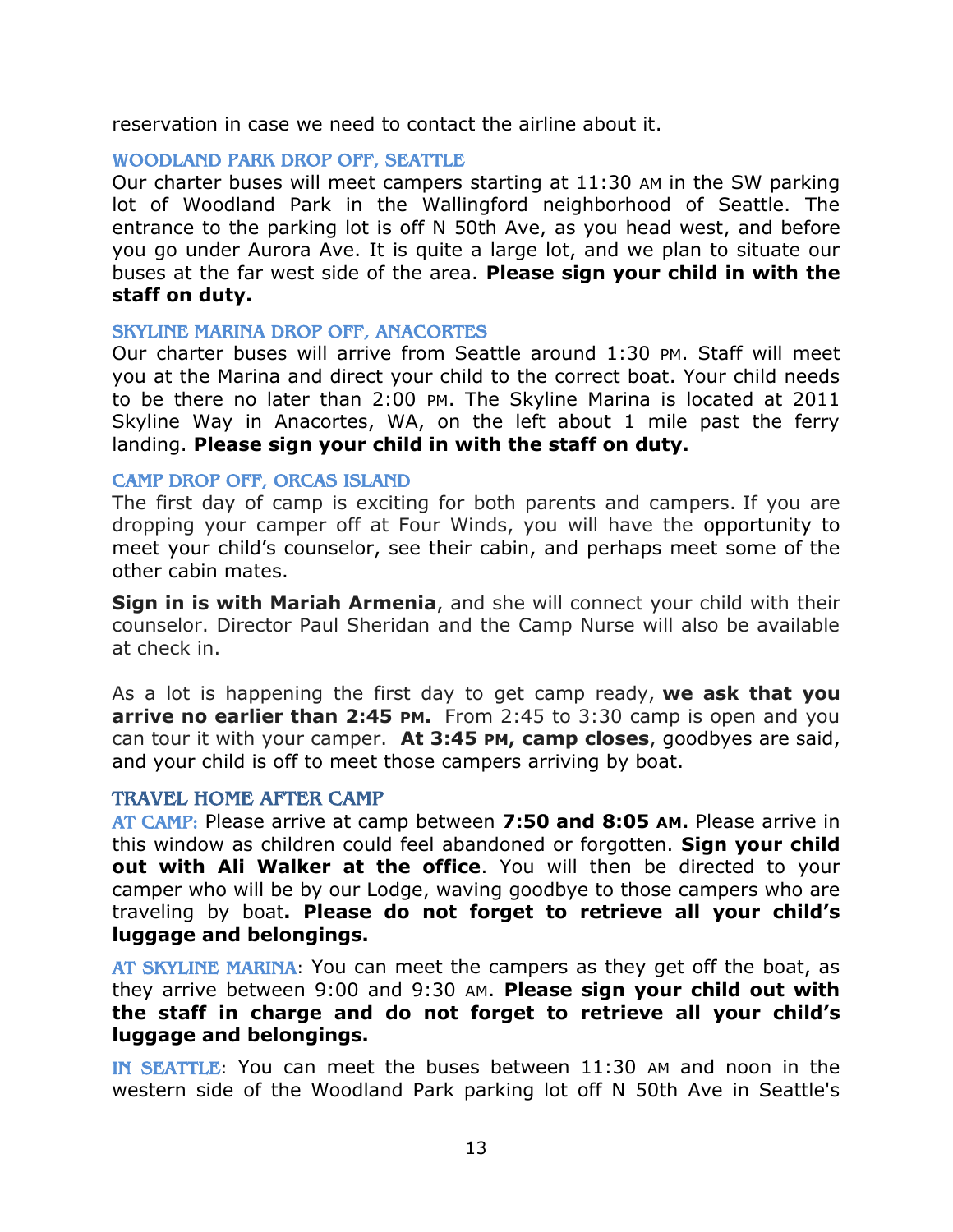reservation in case we need to contact the airline about it.

#### <span id="page-12-0"></span>WOODLAND PARK DROP OFF, SEATTLE

Our charter buses will meet campers starting at 11:30 AM in the SW parking lot of Woodland Park in the Wallingford neighborhood of Seattle. The entrance to the parking lot is off N 50th Ave, as you head west, and before you go under Aurora Ave. It is quite a large lot, and we plan to situate our buses at the far west side of the area. **Please sign your child in with the staff on duty.** 

#### <span id="page-12-1"></span>SKYLINE MARINA DROP OFF, ANACORTES

Our charter buses will arrive from Seattle around 1:30 PM. Staff will meet you at the Marina and direct your child to the correct boat. Your child needs to be there no later than 2:00 PM. The Skyline Marina is located at 2011 Skyline Way in Anacortes, WA, on the left about 1 mile past the ferry landing. **Please sign your child in with the staff on duty.** 

#### <span id="page-12-2"></span>CAMP DROP OFF, ORCAS ISLAND

The first day of camp is exciting for both parents and campers. If you are dropping your camper off at Four Winds, you will have the opportunity to meet your child's counselor, see their cabin, and perhaps meet some of the other cabin mates.

**Sign in is with Mariah Armenia**, and she will connect your child with their counselor. Director Paul Sheridan and the Camp Nurse will also be available at check in.

As a lot is happening the first day to get camp ready, **we ask that you arrive no earlier than 2:45 PM.** From 2:45 to 3:30 camp is open and you can tour it with your camper. **At 3:45 PM, camp closes**, goodbyes are said, and your child is off to meet those campers arriving by boat.

#### <span id="page-12-3"></span>TRAVEL HOME AFTER CAMP

<span id="page-12-4"></span>AT CAMP: Please arrive at camp between **7:50 and 8:05 AM.** Please arrive in this window as children could feel abandoned or forgotten. **Sign your child out with Ali Walker at the office**. You will then be directed to your camper who will be by our Lodge, waving goodbye to those campers who are traveling by boat**. Please do not forget to retrieve all your child's luggage and belongings.**

<span id="page-12-5"></span>AT SKYLINE MARINA: You can meet the campers as they get off the boat, as they arrive between 9:00 and 9:30 AM. **Please sign your child out with the staff in charge and do not forget to retrieve all your child's luggage and belongings.**

<span id="page-12-6"></span>IN SEATTLE: You can meet the buses between 11:30 AM and noon in the western side of the Woodland Park parking lot off N 50th Ave in Seattle's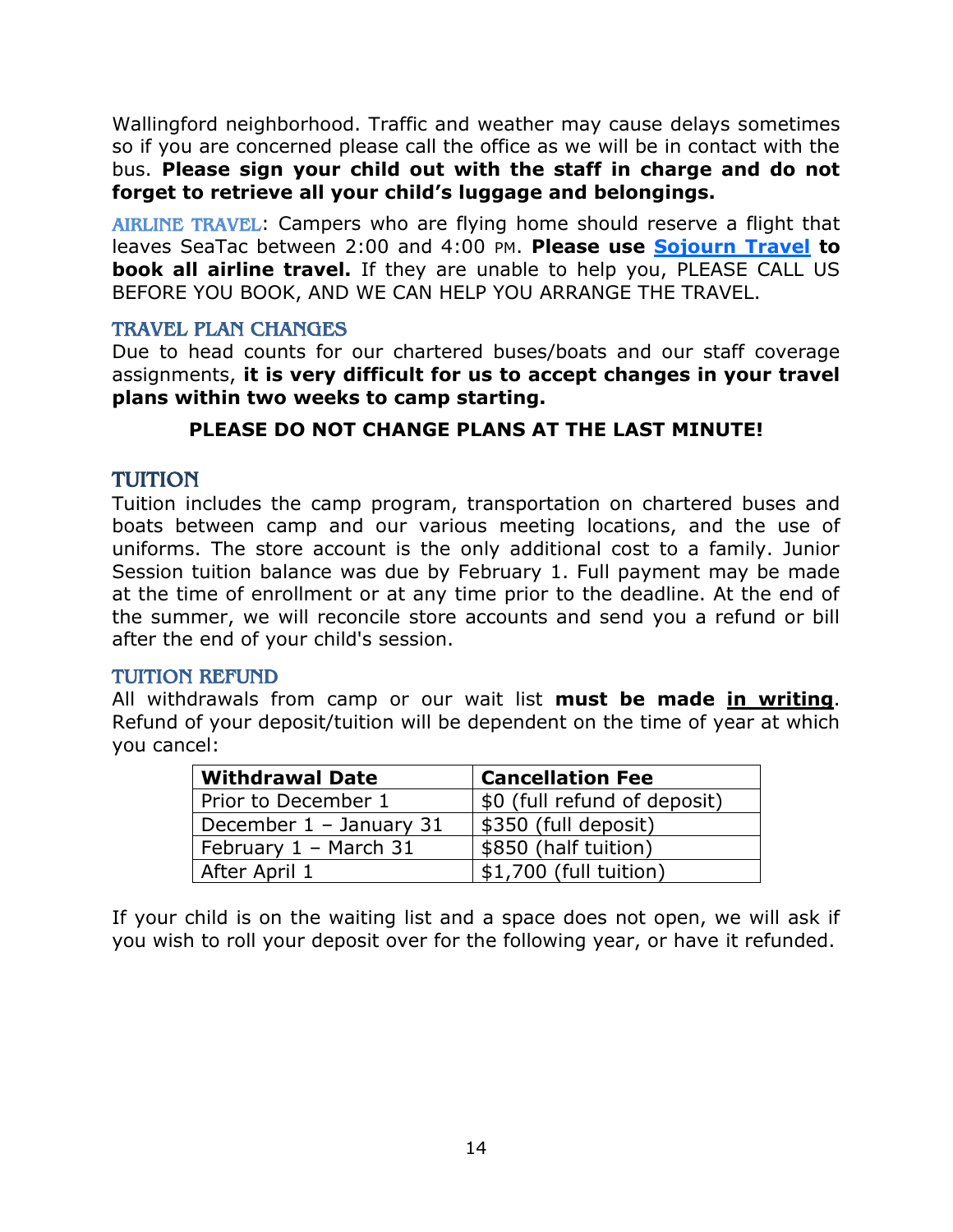Wallingford neighborhood. Traffic and weather may cause delays sometimes so if you are concerned please call the office as we will be in contact with the bus. **Please sign your child out with the staff in charge and do not forget to retrieve all your child's luggage and belongings.**

<span id="page-13-0"></span>AIRLINE TRAVEL: Campers who are flying home should reserve a flight that leaves SeaTac between 2:00 and 4:00 PM. **Please use [Sojourn Travel](https://fs20.formsite.com/sojourn/form10/index.html) to book all airline travel.** If they are unable to help you, PLEASE CALL US BEFORE YOU BOOK, AND WE CAN HELP YOU ARRANGE THE TRAVEL.

## <span id="page-13-1"></span>TRAVEL PLAN CHANGES

Due to head counts for our chartered buses/boats and our staff coverage assignments, **it is very difficult for us to accept changes in your travel plans within two weeks to camp starting.** 

## **PLEASE DO NOT CHANGE PLANS AT THE LAST MINUTE!**

## <span id="page-13-2"></span>TUITION

Tuition includes the camp program, transportation on chartered buses and boats between camp and our various meeting locations, and the use of uniforms. The store account is the only additional cost to a family. Junior Session tuition balance was due by February 1. Full payment may be made at the time of enrollment or at any time prior to the deadline. At the end of the summer, we will reconcile store accounts and send you a refund or bill after the end of your child's session.

#### <span id="page-13-3"></span>TUITION REFUND

All withdrawals from camp or our wait list **must be made in writing**. Refund of your deposit/tuition will be dependent on the time of year at which you cancel:

| <b>Withdrawal Date</b>  | <b>Cancellation Fee</b>      |
|-------------------------|------------------------------|
| Prior to December 1     | \$0 (full refund of deposit) |
| December 1 - January 31 | \$350 (full deposit)         |
| February $1 -$ March 31 | \$850 (half tuition)         |
| After April 1           | \$1,700 (full tuition)       |

If your child is on the waiting list and a space does not open, we will ask if you wish to roll your deposit over for the following year, or have it refunded.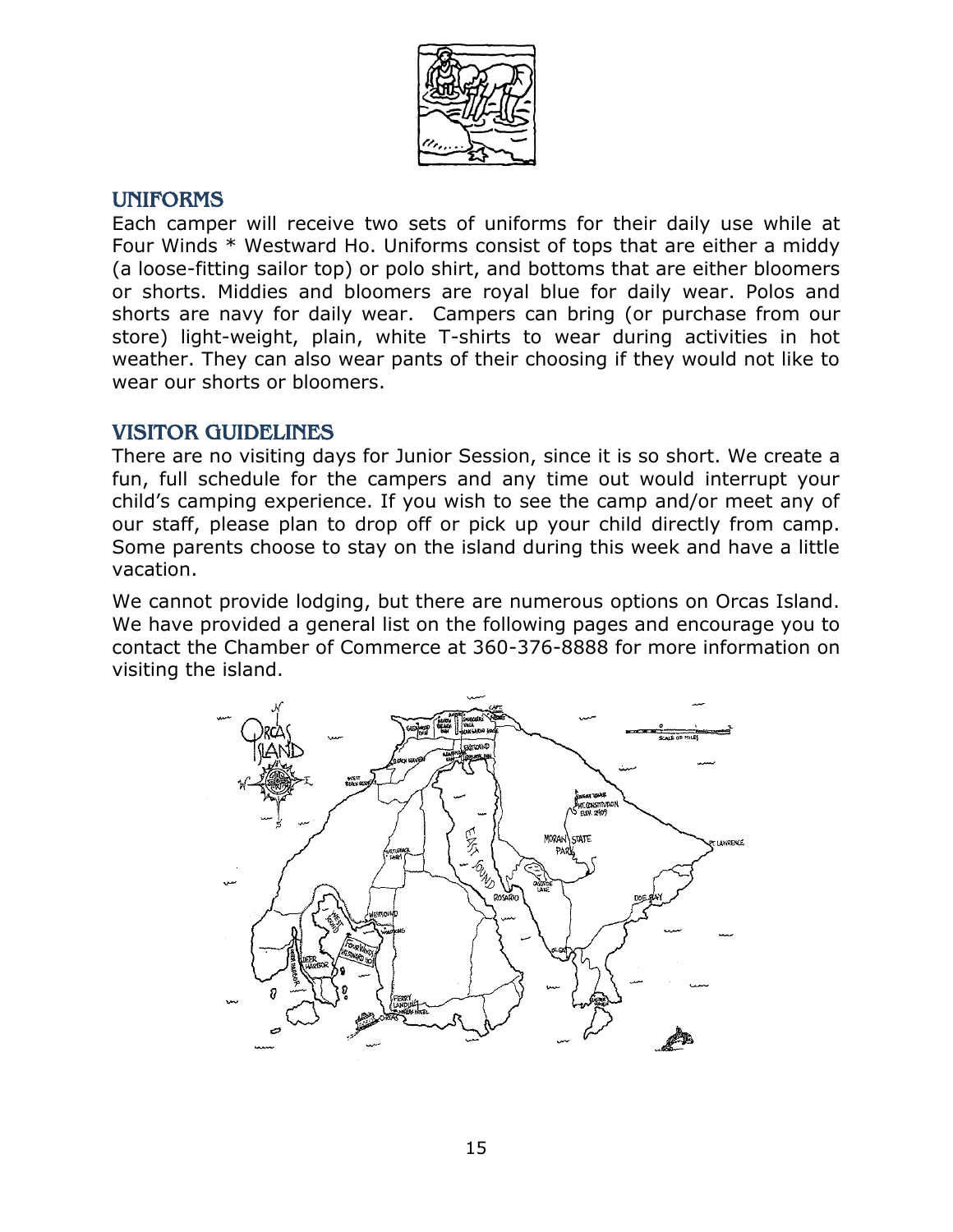

## <span id="page-14-0"></span>UNIFORMS

Each camper will receive two sets of uniforms for their daily use while at Four Winds \* Westward Ho. Uniforms consist of tops that are either a middy (a loose-fitting sailor top) or polo shirt, and bottoms that are either bloomers or shorts. Middies and bloomers are royal blue for daily wear. Polos and shorts are navy for daily wear. Campers can bring (or purchase from our store) light-weight, plain, white T-shirts to wear during activities in hot weather. They can also wear pants of their choosing if they would not like to wear our shorts or bloomers.

## <span id="page-14-1"></span>VISITOR GUIDELINES

There are no visiting days for Junior Session, since it is so short. We create a fun, full schedule for the campers and any time out would interrupt your child's camping experience. If you wish to see the camp and/or meet any of our staff, please plan to drop off or pick up your child directly from camp. Some parents choose to stay on the island during this week and have a little vacation.

We cannot provide lodging, but there are numerous options on Orcas Island. We have provided a general list on the following pages and encourage you to contact the Chamber of Commerce at 360-376-8888 for more information on visiting the island.